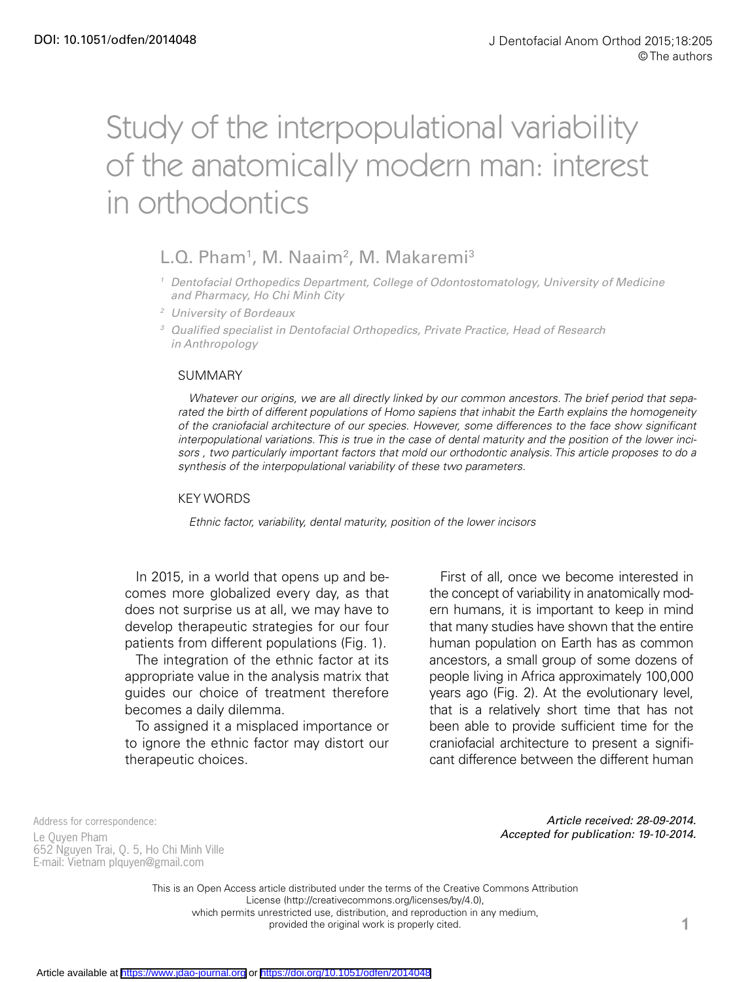# Study of the interpopulational variability of the anatomically modern man: interest in orthodontics

# L.Q. Pham<sup>1</sup>, M. Naaim<sup>2</sup>, M. Makaremi<sup>3</sup>

- *<sup>1</sup> Dentofacial Orthopedics Department, College of Odontostomatology, University of Medicine and Pharmacy, Ho Chi Minh City*
- *<sup>2</sup> University of Bordeaux*
- *<sup>3</sup> Qualified specialist in Dentofacial Orthopedics, Private Practice, Head of Research in Anthropology*

#### SUMMARY

*Whatever our origins, we are all directly linked by our common ancestors. The brief period that separated the birth of different populations of Homo sapiens that inhabit the Earth explains the homogeneity of the craniofacial architecture of our species. However, some differences to the face show significant interpopulational variations. This is true in the case of dental maturity and the position of the lower incisors , two particularly important factors that mold our orthodontic analysis. This article proposes to do a synthesis of the interpopulational variability of these two parameters.*

#### KEY WORDS

*Ethnic factor, variability, dental maturity, position of the lower incisors*

In 2015, in a world that opens up and becomes more globalized every day, as that does not surprise us at all, we may have to develop therapeutic strategies for our four patients from different populations (Fig. 1).

The integration of the ethnic factor at its appropriate value in the analysis matrix that guides our choice of treatment therefore becomes a daily dilemma.

To assigned it a misplaced importance or to ignore the ethnic factor may distort our therapeutic choices.

First of all, once we become interested in the concept of variability in anatomically modern humans, it is important to keep in mind that many studies have shown that the entire human population on Earth has as common ancestors, a small group of some dozens of people living in Africa approximately 100,000 years ago (Fig. 2). At the evolutionary level, that is a relatively short time that has not been able to provide sufficient time for the craniofacial architecture to present a significant difference between the different human

Address for correspondence:

Le Quyen Pham 652 Nguyen Trai, Q. 5, Ho Chi Minh Ville E-mail: Vietnam [plquyen@gmail.com](mailto:plquyen@gmail.com)

*Article received: 28-09-2014. Accepted for publication: 19-10-2014.*

This is an Open Access article distributed under the terms of the Creative Commons Attribution License (http://creativecommons.org/licenses/by/4.0), which permits unrestricted use, distribution, and reproduction in any medium, provided the original work is properly cited. The state of  $\blacksquare$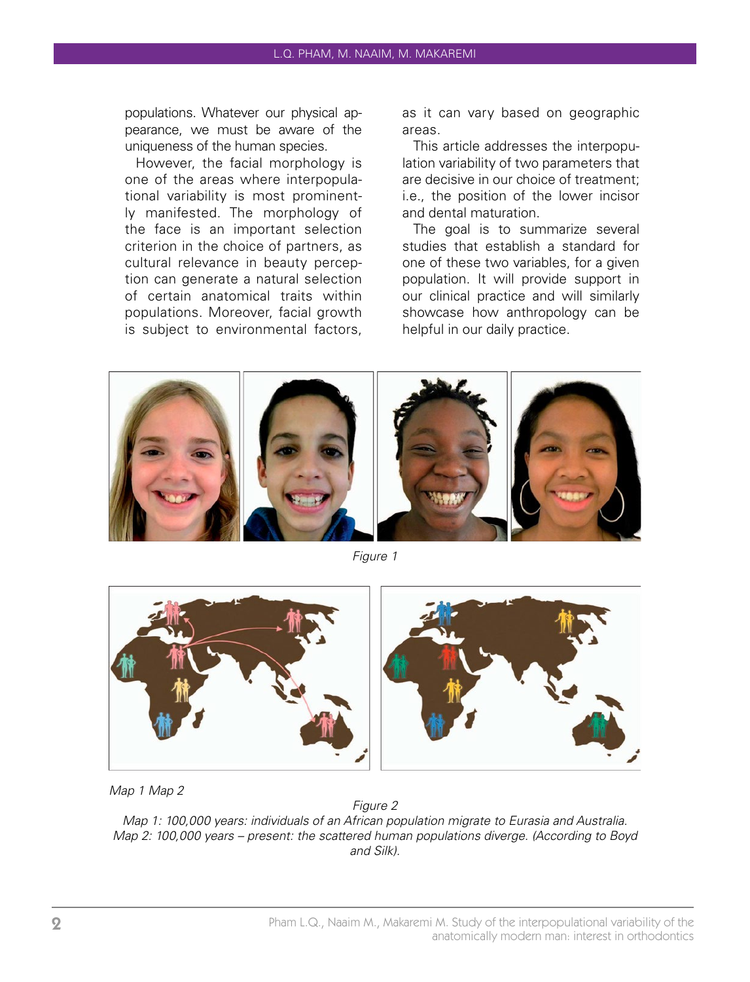populations. Whatever our physical appearance, we must be aware of the uniqueness of the human species.

However, the facial morphology is one of the areas where interpopulational variability is most prominently manifested. The morphology of the face is an important selection criterion in the choice of partners, as cultural relevance in beauty perception can generate a natural selection of certain anatomical traits within populations. Moreover, facial growth is subject to environmental factors, as it can vary based on geographic areas.

This article addresses the interpopulation variability of two parameters that are decisive in our choice of treatment; i.e., the position of the lower incisor and dental maturation.

The goal is to summarize several studies that establish a standard for one of these two variables, for a given population. It will provide support in our clinical practice and will similarly showcase how anthropology can be helpful in our daily practice.



*Figure 1*



*Map 1 Map 2*

*Figure 2 Map 1: 100,000 years: individuals of an African population migrate to Eurasia and Australia. Map 2: 100,000 years – present: the scattered human populations diverge. (According to Boyd and Silk).*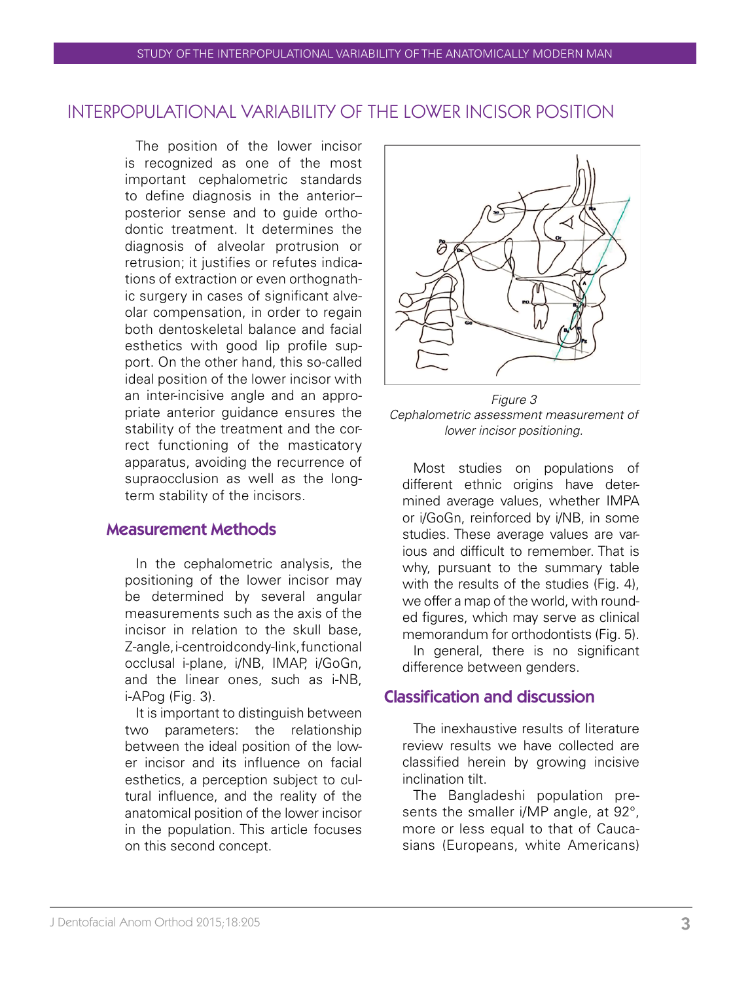# INTERPOPULATIONAL VARIABILITY OF THE LOWER INCISOR POSITION

The position of the lower incisor is recognized as one of the most important cephalometric standards to define diagnosis in the anterior– posterior sense and to guide orthodontic treatment. It determines the diagnosis of alveolar protrusion or retrusion; it justifies or refutes indications of extraction or even orthognathic surgery in cases of significant alveolar compensation, in order to regain both dentoskeletal balance and facial esthetics with good lip profile support. On the other hand, this so-called ideal position of the lower incisor with an inter-incisive angle and an appropriate anterior guidance ensures the stability of the treatment and the correct functioning of the masticatory apparatus, avoiding the recurrence of supraocclusion as well as the longterm stability of the incisors.

## Measurement Methods

In the cephalometric analysis, the positioning of the lower incisor may be determined by several angular measurements such as the axis of the incisor in relation to the skull base Z-angle, i-centroid condy-link, functional occlusal i-plane, i/NB, IMAP, i/GoGn, and the linear ones, such as i-NB, i-APog (Fig. 3).

It is important to distinguish between two parameters: the relationship between the ideal position of the lower incisor and its influence on facial esthetics, a perception subject to cultural influence, and the reality of the anatomical position of the lower incisor in the population. This article focuses on this second concept.



*Figure 3 Cephalometric assessment measurement of lower incisor positioning.*

Most studies on populations of different ethnic origins have determined average values, whether IMPA or i/GoGn, reinforced by i/NB, in some studies. These average values are various and difficult to remember. That is why, pursuant to the summary table with the results of the studies (Fig. 4), we offer a map of the world, with rounded figures, which may serve as clinical memorandum for orthodontists (Fig. 5).

In general, there is no significant difference between genders.

## Classification and discussion

The inexhaustive results of literature review results we have collected are classified herein by growing incisive inclination tilt.

The Bangladeshi population presents the smaller i/MP angle, at 92°, more or less equal to that of Caucasians (Europeans, white Americans)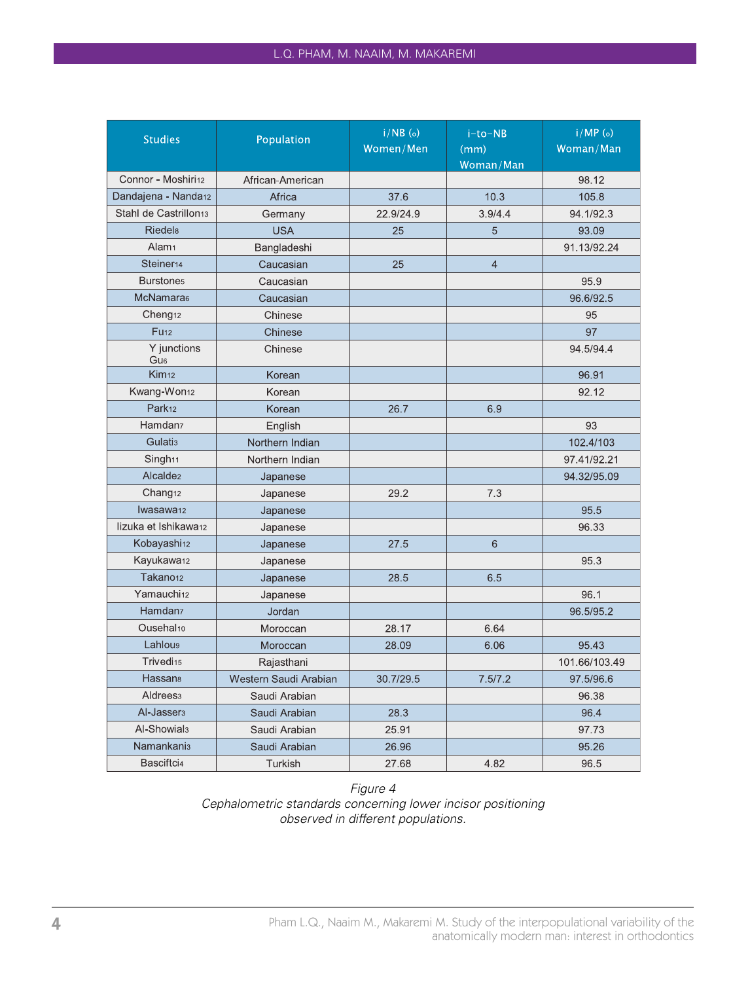| <b>Studies</b>                    | Population            | $i/NB$ (o)<br>Women/Men | i-to-NB<br>(mm)<br>Woman/Man | $i/MP$ (o)<br>Woman/Man |
|-----------------------------------|-----------------------|-------------------------|------------------------------|-------------------------|
| Connor - Moshiri12                | African-American      |                         |                              | 98.12                   |
| Dandajena - Nanda <sub>12</sub>   | Africa                | 37.6                    | 10.3                         | 105.8                   |
| Stahl de Castrillon <sub>13</sub> | Germany               | 22.9/24.9               | 3.9/4.4                      | 94.1/92.3               |
| <b>Riedels</b>                    | <b>USA</b>            | 25                      | 5                            | 93.09                   |
| Alam <sub>1</sub>                 | Bangladeshi           |                         |                              | 91.13/92.24             |
| Steiner <sub>14</sub>             | Caucasian             | 25                      | $\overline{4}$               |                         |
| Burstone <sub>5</sub>             | Caucasian             |                         |                              | 95.9                    |
| McNamara <sub>6</sub>             | Caucasian             |                         | 96.6/92.5                    |                         |
| Cheng <sub>12</sub>               | Chinese               |                         |                              | 95                      |
| <b>Fu<sub>12</sub></b>            | Chinese               |                         |                              | 97                      |
| Y junctions<br>Gu <sub>6</sub>    | Chinese               |                         |                              | 94.5/94.4               |
| Kim <sub>12</sub>                 | Korean                |                         |                              | 96.91                   |
| Kwang-Won <sub>12</sub>           | Korean                |                         |                              | 92.12                   |
| Park <sub>12</sub>                | Korean                | 26.7                    | 6.9                          |                         |
| Hamdan <sub>7</sub>               | English               |                         |                              | 93                      |
| <b>Gulatis</b>                    | Northern Indian       |                         |                              | 102.4/103               |
| Singh <sub>11</sub>               | Northern Indian       |                         |                              | 97.41/92.21             |
| Alcalde <sub>2</sub>              | Japanese              |                         |                              | 94.32/95.09             |
| Chang <sub>12</sub>               | Japanese              | 29.2                    | 7.3                          |                         |
| Iwasawa <sub>12</sub>             | Japanese              |                         |                              | 95.5                    |
| lizuka et Ishikawa12              | Japanese              |                         |                              | 96.33                   |
| Kobayashi <sub>12</sub>           | Japanese              | 27.5                    | 6                            |                         |
| Kayukawa12                        | Japanese              |                         |                              | 95.3                    |
| Takano <sub>12</sub>              | Japanese              | 28.5                    | 6.5                          |                         |
| Yamauchi <sub>12</sub>            | Japanese              |                         |                              | 96.1                    |
| Hamdan <sub>7</sub>               | Jordan                |                         |                              | 96.5/95.2               |
| Ousehal <sub>10</sub>             | Moroccan              | 28.17                   | 6.64                         |                         |
| <b>Lahlous</b>                    | Moroccan              | 28.09                   | 6.06                         | 95.43                   |
| Trivedi <sub>15</sub>             | Rajasthani            |                         |                              | 101.66/103.49           |
| <b>Hassan</b> <sub>8</sub>        | Western Saudi Arabian | 30.7/29.5               | 7.5/7.2                      | 97.5/96.6               |
| Aldrees <sub>3</sub>              | Saudi Arabian         |                         |                              | 96.38                   |
| Al-Jasser <sub>3</sub>            | Saudi Arabian         | 28.3                    |                              | 96.4                    |
| Al-Showial <sub>3</sub>           | Saudi Arabian         | 25.91                   |                              | 97.73                   |
| <b>Namankanis</b>                 | Saudi Arabian         | 26.96                   |                              | 95.26                   |
| Basciftci4                        | Turkish               | 27.68                   | 4.82                         | 96.5                    |

#### *Figure 4 Cephalometric standards concerning lower incisor positioning observed in different populations.*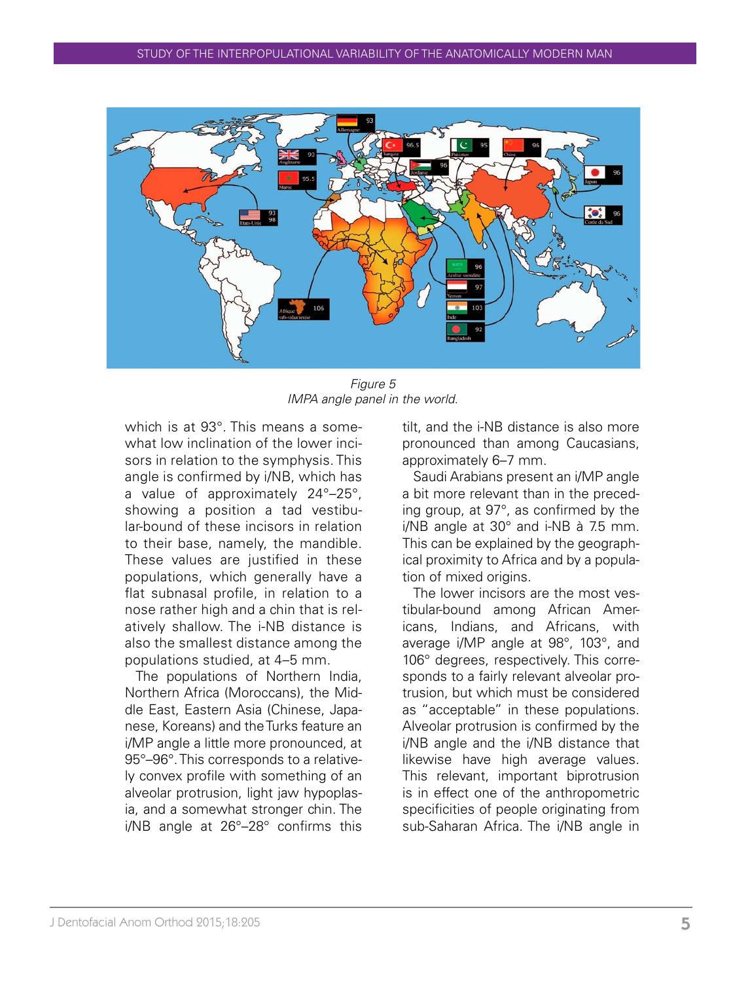

*Figure 5 IMPA angle panel in the world.*

which is at 93°. This means a somewhat low inclination of the lower incisors in relation to the symphysis. This angle is confirmed by i/NB, which has a value of approximately 24°–25°, showing a position a tad vestibular-bound of these incisors in relation to their base, namely, the mandible. These values are justified in these populations, which generally have a flat subnasal profile, in relation to a nose rather high and a chin that is relatively shallow. The i-NB distance is also the smallest distance among the populations studied, at 4–5 mm.

The populations of Northern India, Northern Africa (Moroccans), the Middle East, Eastern Asia (Chinese, Japanese, Koreans) and the Turks feature an i/MP angle a little more pronounced, at 95°–96°. This corresponds to a relatively convex profile with something of an alveolar protrusion, light jaw hypoplasia, and a somewhat stronger chin. The i/NB angle at 26°–28° confirms this

tilt, and the i-NB distance is also more pronounced than among Caucasians, approximately 6–7 mm.

Saudi Arabians present an i/MP angle a bit more relevant than in the preceding group, at 97°, as confirmed by the i/NB angle at 30° and i-NB à 7.5 mm. This can be explained by the geographical proximity to Africa and by a population of mixed origins.

The lower incisors are the most vestibular-bound among African Americans, Indians, and Africans, with average i/MP angle at 98°, 103°, and 106° degrees, respectively. This corresponds to a fairly relevant alveolar protrusion, but which must be considered as "acceptable" in these populations. Alveolar protrusion is confirmed by the i/NB angle and the i/NB distance that likewise have high average values. This relevant, important biprotrusion is in effect one of the anthropometric specificities of people originating from sub-Saharan Africa. The i/NB angle in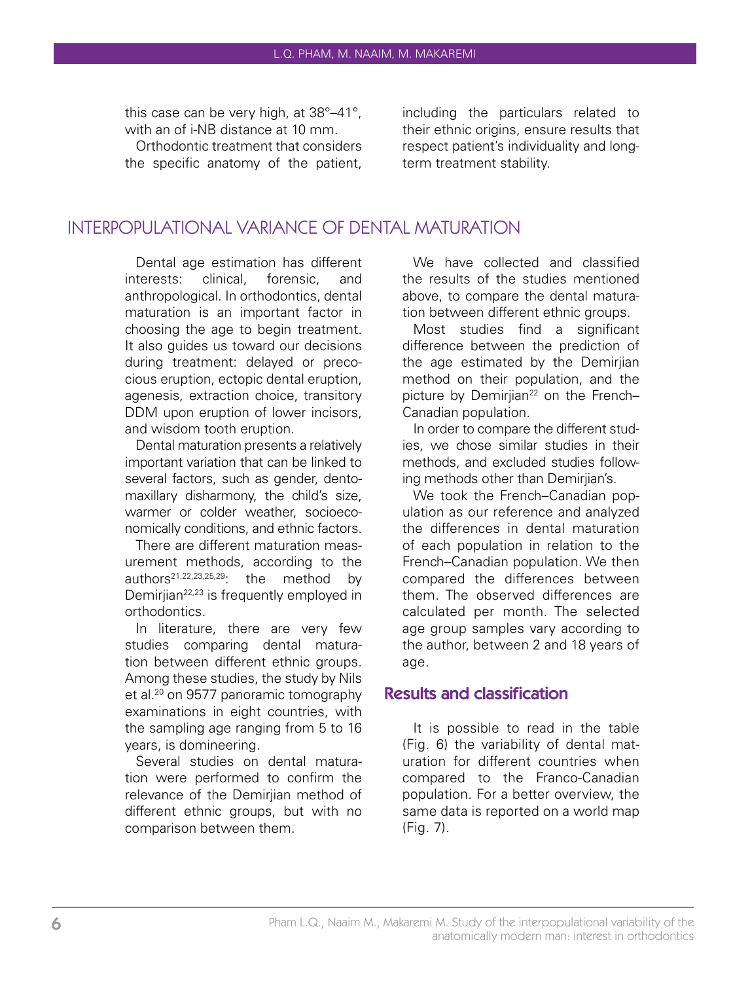this case can be very high, at 38°–41°, with an of i-NB distance at 10 mm.

Orthodontic treatment that considers the specific anatomy of the patient, including the particulars related to their ethnic origins, ensure results that respect patient's individuality and longterm treatment stability.

## INTERPOPULATIONAL VARIANCE OF DENTAL MATURATION

Dental age estimation has different interests: clinical, forensic, and anthropological. In orthodontics, dental maturation is an important factor in choosing the age to begin treatment. It also guides us toward our decisions during treatment: delayed or precocious eruption, ectopic dental eruption, agenesis, extraction choice, transitory DDM upon eruption of lower incisors. and wisdom tooth eruption.

Dental maturation presents a relatively important variation that can be linked to several factors, such as gender, dentomaxillary disharmony, the child's size, warmer or colder weather, socioeconomically conditions, and ethnic factors.

There are different maturation measurement methods, according to the authors21,22,23,25,29: the method by Demiriian<sup>22,23</sup> is frequently employed in orthodontics.

In literature, there are very few studies comparing dental maturation between different ethnic groups. Among these studies, the study by Nils et al.<sup>20</sup> on 9577 panoramic tomography examinations in eight countries, with the sampling age ranging from 5 to 16 years, is domineering.

Several studies on dental maturation were performed to confirm the relevance of the Demirijan method of different ethnic groups, but with no comparison between them.

We have collected and classified the results of the studies mentioned above, to compare the dental maturation between different ethnic groups.

Most studies find a significant difference between the prediction of the age estimated by the Demirjian method on their population, and the picture by Demirijan<sup>22</sup> on the French-Canadian population.

In order to compare the different studies, we chose similar studies in their methods, and excluded studies following methods other than Demirjian's.

We took the French–Canadian population as our reference and analyzed the differences in dental maturation of each population in relation to the French–Canadian population. We then compared the differences between them. The observed differences are calculated per month. The selected age group samples vary according to the author, between 2 and 18 years of age.

### Results and classification

It is possible to read in the table (Fig. 6) the variability of dental maturation for different countries when compared to the Franco-Canadian population. For a better overview, the same data is reported on a world map (Fig. 7).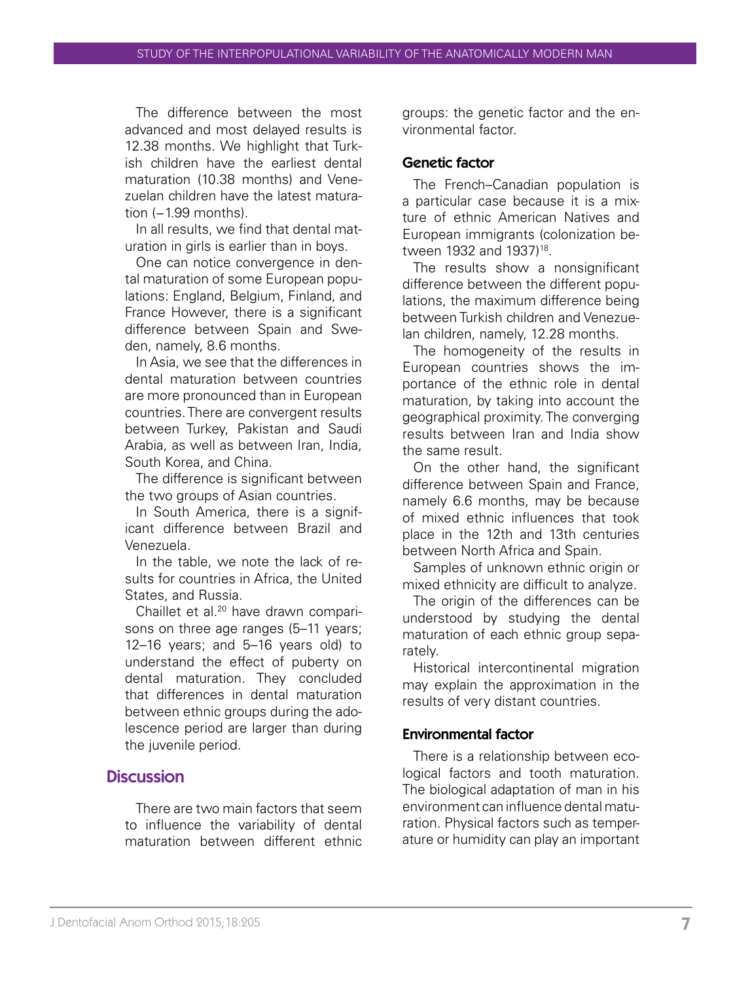The difference between the most advanced and most delayed results is 12.38 months. We highlight that Turkish children have the earliest dental maturation (10.38 months) and Venezuelan children have the latest maturation (−1.99 months).

In all results, we find that dental maturation in girls is earlier than in boys.

One can notice convergence in dental maturation of some European populations: England, Belgium, Finland, and France However, there is a significant difference between Spain and Sweden, namely, 8.6 months.

In Asia, we see that the differences in dental maturation between countries are more pronounced than in European countries. There are convergent results between Turkey, Pakistan and Saudi Arabia, as well as between Iran, India, South Korea, and China.

The difference is significant between the two groups of Asian countries.

In South America, there is a significant difference between Brazil and Venezuela.

In the table, we note the lack of results for countries in Africa, the United States, and Russia.

Chaillet et al.20 have drawn comparisons on three age ranges (5–11 years; 12–16 years; and 5–16 years old) to understand the effect of puberty on dental maturation. They concluded that differences in dental maturation between ethnic groups during the adolescence period are larger than during the juvenile period.

## **Discussion**

There are two main factors that seem to influence the variability of dental maturation between different ethnic

groups: the genetic factor and the environmental factor.

#### Genetic factor

The French–Canadian population is a particular case because it is a mixture of ethnic American Natives and European immigrants (colonization between 1932 and 1937)<sup>18</sup>.

The results show a nonsignificant difference between the different populations, the maximum difference being between Turkish children and Venezuelan children, namely, 12.28 months.

The homogeneity of the results in European countries shows the importance of the ethnic role in dental maturation, by taking into account the geographical proximity. The converging results between Iran and India show the same result.

On the other hand, the significant difference between Spain and France, namely 6.6 months, may be because of mixed ethnic influences that took place in the 12th and 13th centuries between North Africa and Spain.

Samples of unknown ethnic origin or mixed ethnicity are difficult to analyze.

The origin of the differences can be understood by studying the dental maturation of each ethnic group separately.

Historical intercontinental migration may explain the approximation in the results of very distant countries.

#### Environmental factor

There is a relationship between ecological factors and tooth maturation. The biological adaptation of man in his environment can influence dental maturation. Physical factors such as temperature or humidity can play an important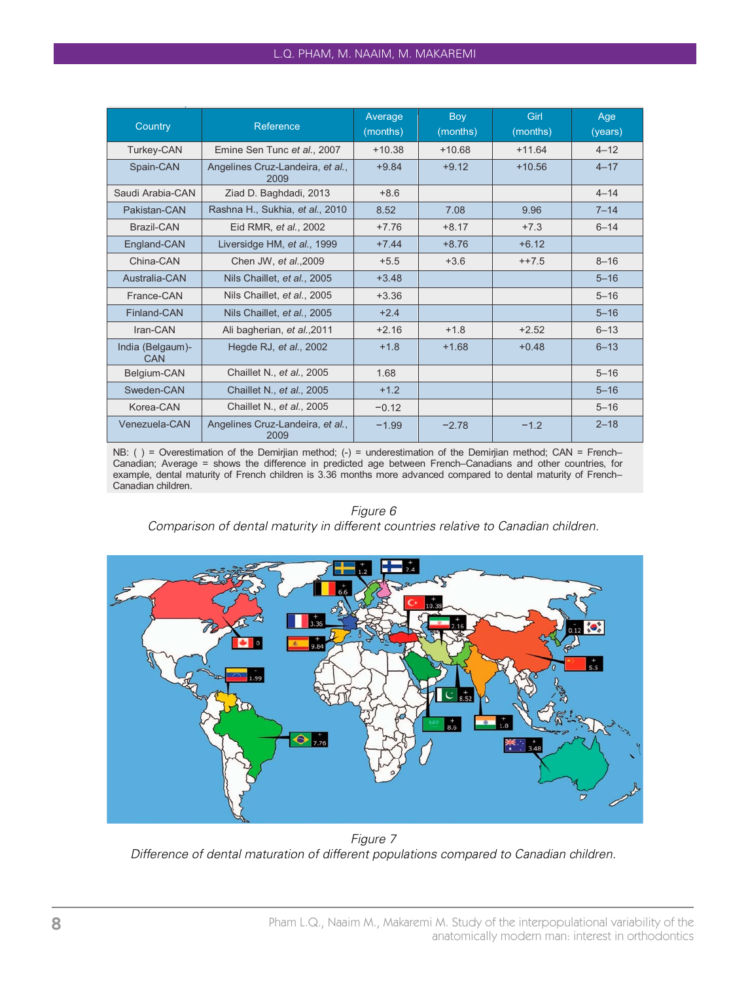#### L.Q. PHAM, M. NAAIM, M. MAKAREMI

| Country                 | Reference                                | Average<br>(months) | Boy<br>(months) | Girl<br>(months) | Age<br>(years) |
|-------------------------|------------------------------------------|---------------------|-----------------|------------------|----------------|
| Turkey-CAN              | Emine Sen Tunc et al., 2007              | $+10.38$            | $+10.68$        | $+11.64$         | $4 - 12$       |
| Spain-CAN               | Angelines Cruz-Landeira, et al.,<br>2009 | $+9.84$             | $+9.12$         | $+10.56$         | $4 - 17$       |
| Saudi Arabia-CAN        | Ziad D. Baghdadi, 2013                   | $+8.6$              |                 |                  | $4 - 14$       |
| Pakistan-CAN            | Rashna H., Sukhia, et al., 2010          | 8.52                | 7.08            | 9.96             | $7 - 14$       |
| Brazil-CAN              | Eid RMR, et al., 2002                    | $+7.76$             | $+8.17$         | $+7.3$           | $6 - 14$       |
| England-CAN             | Liversidge HM, et al., 1999              | $+7.44$             | $+8.76$         | $+6.12$          |                |
| China-CAN               | Chen JW. et al., 2009                    | $+5.5$              | $+3.6$          | $++7.5$          | $8 - 16$       |
| Australia-CAN           | Nils Chaillet, et al., 2005              | $+3.48$             |                 |                  | $5 - 16$       |
| France-CAN              | Nils Chaillet, et al., 2005              | $+3.36$             |                 |                  | $5 - 16$       |
| Finland-CAN             | Nils Chaillet, et al., 2005              | $+2.4$              |                 |                  | $5 - 16$       |
| Iran-CAN                | Ali bagherian, et al., 2011              | $+2.16$             | $+1.8$          | $+2.52$          | $6 - 13$       |
| India (Belgaum)-<br>CAN | Hegde RJ, et al., 2002                   | $+1.8$              | $+1.68$         | $+0.48$          | $6 - 13$       |
| Belgium-CAN             | Chaillet N., et al., 2005                | 1.68                |                 |                  | $5 - 16$       |
| Sweden-CAN              | Chaillet N., et al., 2005                | $+1.2$              |                 |                  | $5 - 16$       |
| Korea-CAN               | Chaillet N., et al., 2005                | $-0.12$             |                 |                  | $5 - 16$       |
| Venezuela-CAN           | Angelines Cruz-Landeira, et al.,<br>2009 | $-1.99$             | $-2.78$         | $-1.2$           | $2 - 18$       |

NB: ( ) = Overestimation of the Demirjian method; (-) = underestimation of the Demirjian method; CAN = French– Canadian; Average = shows the difference in predicted age between French–Canadians and other countries, for example, dental maturity of French children is 3.36 months more advanced compared to dental maturity of French– Canadian children.

#### *Figure 6*

*Comparison of dental maturity in different countries relative to Canadian children.*



*Figure 7 Difference of dental maturation of different populations compared to Canadian children.*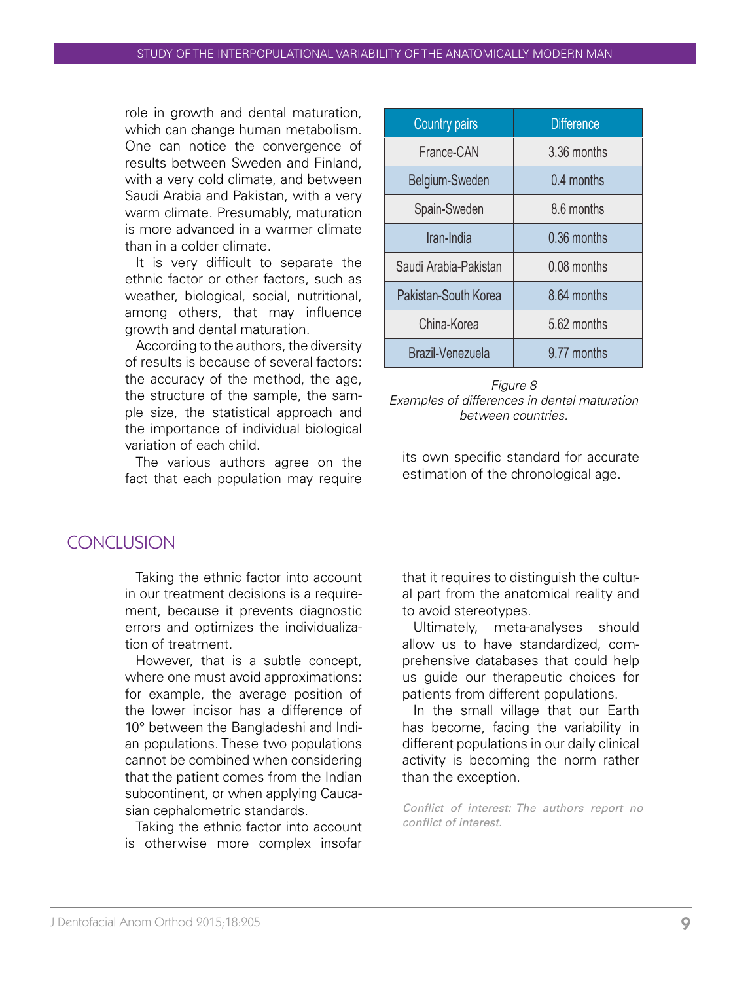role in growth and dental maturation, which can change human metabolism. One can notice the convergence of results between Sweden and Finland, with a very cold climate, and between Saudi Arabia and Pakistan, with a very warm climate. Presumably, maturation is more advanced in a warmer climate than in a colder climate.

It is very difficult to separate the ethnic factor or other factors, such as weather, biological, social, nutritional, among others, that may influence growth and dental maturation.

According to the authors, the diversity of results is because of several factors: the accuracy of the method, the age, the structure of the sample, the sample size, the statistical approach and the importance of individual biological variation of each child.

The various authors agree on the fact that each population may require

| <b>Country pairs</b>  | <b>Difference</b> |  |  |
|-----------------------|-------------------|--|--|
| France-CAN            | 3.36 months       |  |  |
| Belgium-Sweden        | 0.4 months        |  |  |
| Spain-Sweden          | 8.6 months        |  |  |
| Iran-India            | 0.36 months       |  |  |
| Saudi Arabia-Pakistan | 0.08 months       |  |  |
| Pakistan-South Korea  | 8.64 months       |  |  |
| China-Korea           | 5.62 months       |  |  |
| Brazil-Venezuela      | 9.77 months       |  |  |

*Figure 8 Examples of differences in dental maturation between countries.*

its own specific standard for accurate estimation of the chronological age.

# **CONCLUSION**

Taking the ethnic factor into account in our treatment decisions is a requirement, because it prevents diagnostic errors and optimizes the individualization of treatment.

However, that is a subtle concept, where one must avoid approximations: for example, the average position of the lower incisor has a difference of 10° between the Bangladeshi and Indian populations. These two populations cannot be combined when considering that the patient comes from the Indian subcontinent, or when applying Caucasian cephalometric standards.

Taking the ethnic factor into account is otherwise more complex insofar

that it requires to distinguish the cultural part from the anatomical reality and to avoid stereotypes.

Ultimately, meta-analyses should allow us to have standardized, comprehensive databases that could help us guide our therapeutic choices for patients from different populations.

In the small village that our Earth has become, facing the variability in different populations in our daily clinical activity is becoming the norm rather than the exception.

*Conflict of interest: The authors report no conflict of interest.*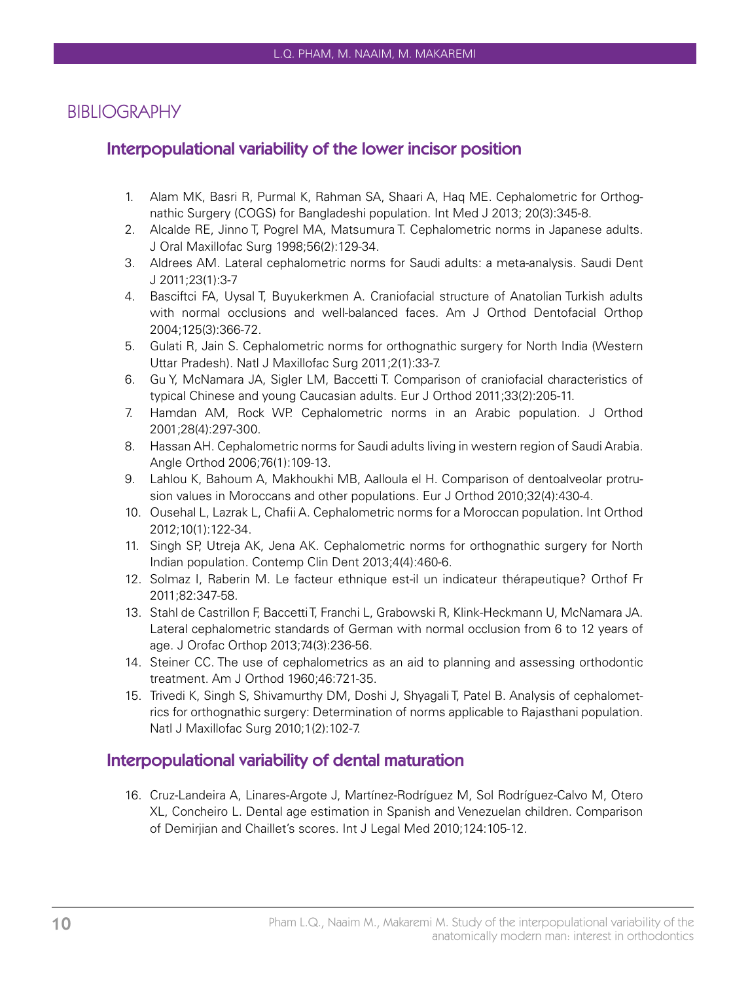## BIBLIOGRAPHY

## Interpopulational variability of the lower incisor position

- 1. Alam MK, Basri R, Purmal K, Rahman SA, Shaari A, Haq ME. Cephalometric for Orthognathic Surgery (COGS) for Bangladeshi population. Int Med J 2013; 20(3):345-8.
- 2. Alcalde RE, Jinno T, Pogrel MA, Matsumura T. Cephalometric norms in Japanese adults. J Oral Maxillofac Surg 1998;56(2):129-34.
- 3. Aldrees AM. Lateral cephalometric norms for Saudi adults: a meta-analysis. Saudi Dent J 2011;23(1):3-7
- 4. Basciftci FA, Uysal T, Buyukerkmen A. Craniofacial structure of Anatolian Turkish adults with normal occlusions and well-balanced faces. Am J Orthod Dentofacial Orthop 2004;125(3):366-72.
- 5. Gulati R, Jain S. Cephalometric norms for orthognathic surgery for North India (Western Uttar Pradesh). Natl J Maxillofac Surg 2011;2(1):33-7.
- 6. Gu Y, McNamara JA, Sigler LM, Baccetti T. Comparison of craniofacial characteristics of typical Chinese and young Caucasian adults. Eur J Orthod 2011;33(2):205-11.
- 7. Hamdan AM, Rock WP. Cephalometric norms in an Arabic population. J Orthod 2001;28(4):297-300.
- 8. Hassan AH. Cephalometric norms for Saudi adults living in western region of Saudi Arabia. Angle Orthod 2006;76(1):109-13.
- 9. Lahlou K, Bahoum A, Makhoukhi MB, Aalloula el H. Comparison of dentoalveolar protrusion values in Moroccans and other populations. Eur J Orthod 2010;32(4):430-4.
- 10. Ousehal L, Lazrak L, Chafii A. Cephalometric norms for a Moroccan population. Int Orthod 2012;10(1):122-34.
- 11. Singh SP, Utreja AK, Jena AK. Cephalometric norms for orthognathic surgery for North Indian population. Contemp Clin Dent 2013;4(4):460-6.
- 12. Solmaz I, Raberin M. Le facteur ethnique est-il un indicateur thérapeutique? Orthof Fr 2011;82:347-58.
- 13. Stahl de Castrillon F, Baccetti T, Franchi L, Grabowski R, Klink-Heckmann U, McNamara JA. Lateral cephalometric standards of German with normal occlusion from 6 to 12 years of age. J Orofac Orthop 2013;74(3):236-56.
- 14. Steiner CC. The use of cephalometrics as an aid to planning and assessing orthodontic treatment. Am J Orthod 1960;46:721-35.
- 15. Trivedi K, Singh S, Shivamurthy DM, Doshi J, Shyagali T, Patel B. Analysis of cephalometrics for orthognathic surgery: Determination of norms applicable to Rajasthani population. Natl J Maxillofac Surg 2010;1(2):102-7.

## Interpopulational variability of dental maturation

16. Cruz-Landeira A, Linares-Argote J, Martínez-Rodríguez M, Sol Rodríguez-Calvo M, Otero XL, Concheiro L. Dental age estimation in Spanish and Venezuelan children. Comparison of Demirjian and Chaillet's scores. Int J Legal Med 2010;124:105-12.